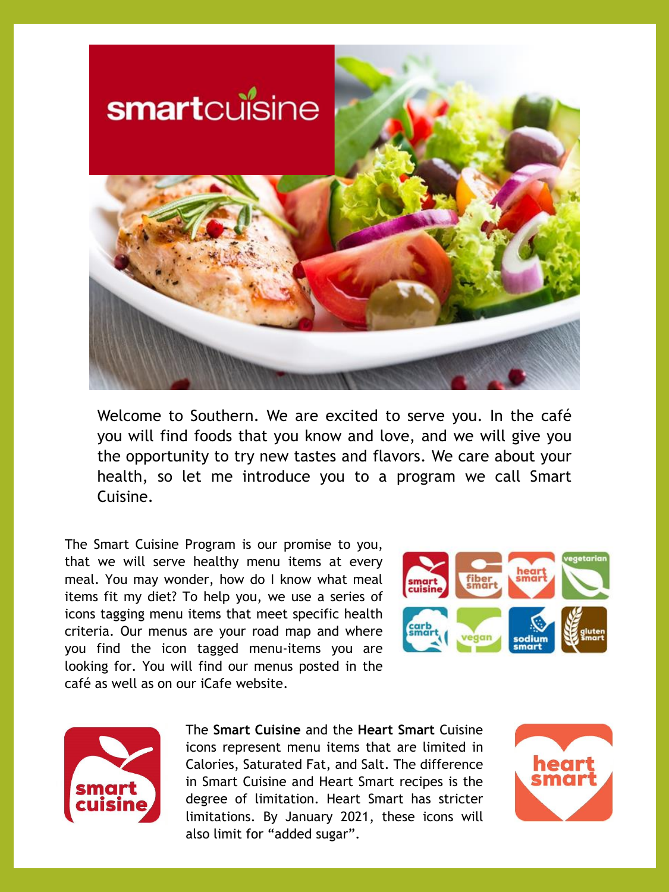

Welcome to Southern. We are excited to serve you. In the café you will find foods that you know and love, and we will give you the opportunity to try new tastes and flavors. We care about your health, so let me introduce you to a program we call Smart Cuisine.

The Smart Cuisine Program is our promise to you, that we will serve healthy menu items at every meal. You may wonder, how do I know what meal items fit my diet? To help you, we use a series of icons tagging menu items that meet specific health criteria. Our menus are your road map and where you find the icon tagged menu-items you are looking for. You will find our menus posted in the café as well as on our iCafe website.





The **Smart Cuisine** and the **Heart Smart** Cuisine icons represent menu items that are limited in Calories, Saturated Fat, and Salt. The difference in Smart Cuisine and Heart Smart recipes is the degree of limitation. Heart Smart has stricter limitations. By January 2021, these icons will also limit for "added sugar".